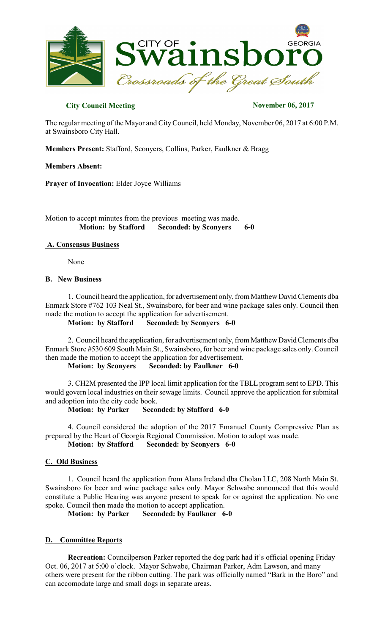

# **City Council Meeting November 06, 2017**

The regular meeting of the Mayor and CityCouncil, held Monday, November 06, 2017 at 6:00 P.M. at Swainsboro City Hall.

**Members Present:** Stafford, Sconyers, Collins, Parker, Faulkner & Bragg

#### **Members Absent:**

**Prayer of Invocation:** Elder Joyce Williams

Motion to accept minutes from the previous meeting was made.  **Motion: by Stafford Seconded: by Sconyers 6-0** 

## **A. Consensus Business**

None

## **B. New Business**

1. Council heard the application, for advertisement only, from MatthewDavid Clements dba Enmark Store #762 103 Neal St., Swainsboro, for beer and wine package sales only. Council then made the motion to accept the application for advertisement.

**Motion: by Stafford Seconded: by Sconyers 6-0**

2. Council heard the application, for advertisement only, from Matthew David Clements dba Enmark Store #530 609 South Main St., Swainsboro, for beer and wine package sales only. Council then made the motion to accept the application for advertisement.

**Motion: by Sconyers Seconded: by Faulkner 6-0**

3. CH2M presented the IPP local limit application for the TBLL program sent to EPD. This would govern local industries on their sewage limits. Council approve the application for submital and adoption into the city code book.

**Motion: by Parker Seconded: by Stafford 6-0**

4. Council considered the adoption of the 2017 Emanuel County Compressive Plan as prepared by the Heart of Georgia Regional Commission. Motion to adopt was made. **Motion: by Stafford Seconded: by Sconyers 6-0**

## **C. Old Business**

1. Council heard the application from Alana Ireland dba Cholan LLC, 208 North Main St. Swainsboro for beer and wine package sales only. Mayor Schwabe announced that this would constitute a Public Hearing was anyone present to speak for or against the application. No one spoke. Council then made the motion to accept application.

**Motion: by Parker Seconded: by Faulkner 6-0**

## **D. Committee Reports**

 **Recreation:** Councilperson Parker reported the dog park had it's official opening Friday Oct. 06, 2017 at 5:00 o'clock. Mayor Schwabe, Chairman Parker, Adm Lawson, and many others were present for the ribbon cutting. The park was officially named "Bark in the Boro" and can accomodate large and small dogs in separate areas.